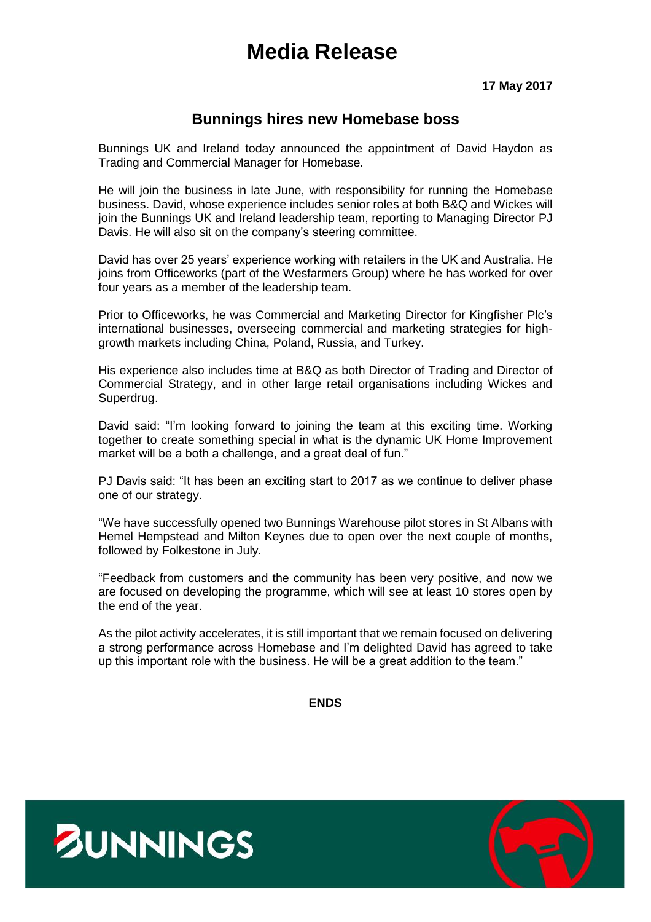# **Media Release**

**17 May 2017**

# **Bunnings hires new Homebase boss**

Bunnings UK and Ireland today announced the appointment of David Haydon as Trading and Commercial Manager for Homebase.

He will join the business in late June, with responsibility for running the Homebase business. David, whose experience includes senior roles at both B&Q and Wickes will join the Bunnings UK and Ireland leadership team, reporting to Managing Director PJ Davis. He will also sit on the company's steering committee.

David has over 25 years' experience working with retailers in the UK and Australia. He joins from Officeworks (part of the Wesfarmers Group) where he has worked for over four years as a member of the leadership team.

Prior to Officeworks, he was Commercial and Marketing Director for Kingfisher Plc's international businesses, overseeing commercial and marketing strategies for highgrowth markets including China, Poland, Russia, and Turkey.

His experience also includes time at B&Q as both Director of Trading and Director of Commercial Strategy, and in other large retail organisations including Wickes and Superdrug.

David said: "I'm looking forward to joining the team at this exciting time. Working together to create something special in what is the dynamic UK Home Improvement market will be a both a challenge, and a great deal of fun."

PJ Davis said: "It has been an exciting start to 2017 as we continue to deliver phase one of our strategy.

"We have successfully opened two Bunnings Warehouse pilot stores in St Albans with Hemel Hempstead and Milton Keynes due to open over the next couple of months, followed by Folkestone in July.

"Feedback from customers and the community has been very positive, and now we are focused on developing the programme, which will see at least 10 stores open by the end of the year.

As the pilot activity accelerates, it is still important that we remain focused on delivering a strong performance across Homebase and I'm delighted David has agreed to take up this important role with the business. He will be a great addition to the team."

**ENDS**